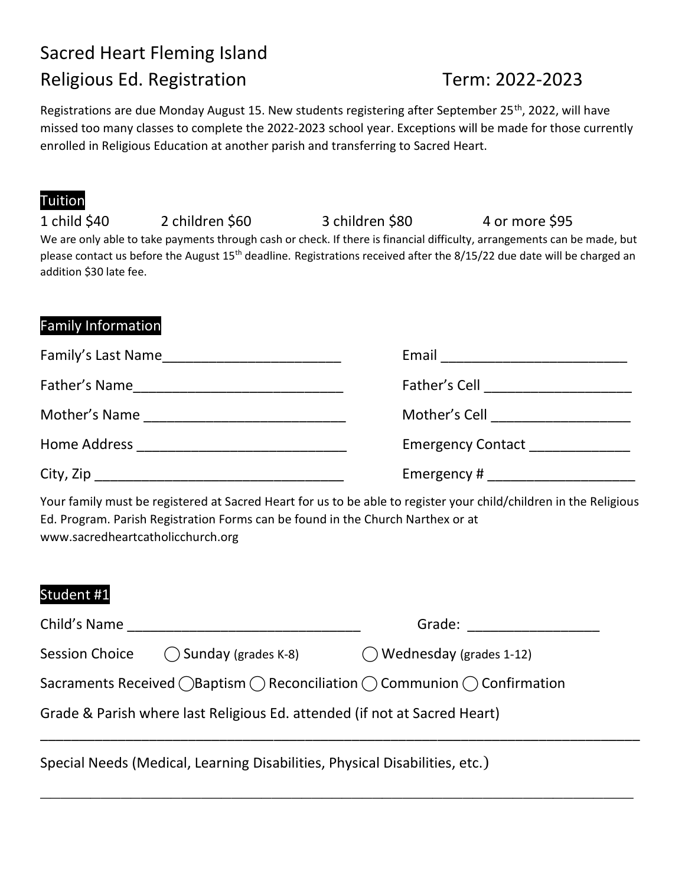# Sacred Heart Fleming Island Religious Ed. Registration Term: 2022-2023

Registrations are due Monday August 15. New students registering after September 25<sup>th</sup>, 2022, will have missed too many classes to complete the 2022-2023 school year. Exceptions will be made for those currently enrolled in Religious Education at another parish and transferring to Sacred Heart.

## Tuition

| 1 child \$40            | 2 children \$60 | 3 children \$80                                                                                                           | 4 or more \$95 |
|-------------------------|-----------------|---------------------------------------------------------------------------------------------------------------------------|----------------|
|                         |                 | We are only able to take payments through cash or check. If there is financial difficulty, arrangements can be made, but  |                |
| addition \$30 late fee. |                 | please contact us before the August $15th$ deadline. Registrations received after the 8/15/22 due date will be charged an |                |
|                         |                 |                                                                                                                           |                |

#### Family Information

| Family's Last Name                                                                                                                     | Email                                  |  |
|----------------------------------------------------------------------------------------------------------------------------------------|----------------------------------------|--|
| Father's Name<br><u> 1990 - Johann John Stein, markin film yn y system yn y system yn y system yn y system yn y system yn y system</u> | Father's Cell ________________________ |  |
| Mother's Name                                                                                                                          | Mother's Cell ____________________     |  |
|                                                                                                                                        | <b>Emergency Contact</b> Emergency     |  |
|                                                                                                                                        | Emergency # ___________________        |  |

Your family must be registered at Sacred Heart for us to be able to register your child/children in the Religious Ed. Program. Parish Registration Forms can be found in the Church Narthex or at www.sacredheartcatholicchurch.org

### Student #1

| Child's Name                                                              |                               | Grade:                                                                                                        |  |  |
|---------------------------------------------------------------------------|-------------------------------|---------------------------------------------------------------------------------------------------------------|--|--|
| <b>Session Choice</b>                                                     | $\bigcap$ Sunday (grades K-8) | $\bigcirc$ Wednesday (grades 1-12)                                                                            |  |  |
|                                                                           |                               | Sacraments Received $\bigcirc$ Baptism $\bigcirc$ Reconciliation $\bigcirc$ Communion $\bigcirc$ Confirmation |  |  |
| Grade & Parish where last Religious Ed. attended (if not at Sacred Heart) |                               |                                                                                                               |  |  |
|                                                                           |                               |                                                                                                               |  |  |

\_\_\_\_\_\_\_\_\_\_\_\_\_\_\_\_\_\_\_\_\_\_\_\_\_\_\_\_\_\_\_\_\_\_\_\_\_\_\_\_\_\_\_\_\_\_\_\_\_\_\_\_\_\_\_\_\_\_\_

Special Needs (Medical, Learning Disabilities, Physical Disabilities, etc.)